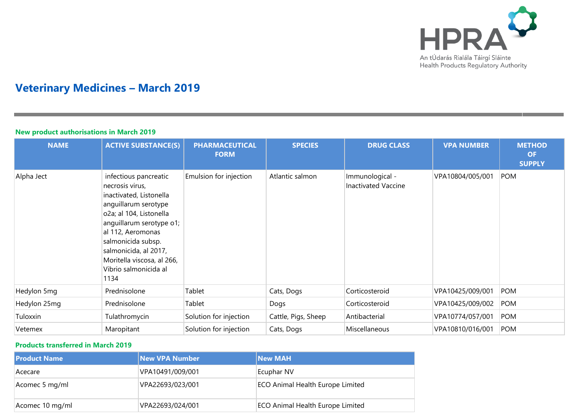

# **Veterinary Medicines – March 2019**

### **New product authorisations in March 2019**

| <b>NAME</b>  | <b>ACTIVE SUBSTANCE(S)</b>                                                                                                                                                                                                                                                            | <b>PHARMACEUTICAL</b><br><b>FORM</b> | <b>SPECIES</b>      | <b>DRUG CLASS</b>                             | <b>VPA NUMBER</b> | <b>METHOD</b><br><b>OF</b><br><b>SUPPLY</b> |
|--------------|---------------------------------------------------------------------------------------------------------------------------------------------------------------------------------------------------------------------------------------------------------------------------------------|--------------------------------------|---------------------|-----------------------------------------------|-------------------|---------------------------------------------|
| Alpha Ject   | infectious pancreatic<br>necrosis virus,<br>inactivated, Listonella<br>anguillarum serotype<br>o2a; al 104, Listonella<br>anguillarum serotype o1;<br>al 112, Aeromonas<br>salmonicida subsp.<br>salmonicida, al 2017,<br>Moritella viscosa, al 266,<br>Vibrio salmonicida al<br>1134 | Emulsion for injection               | Atlantic salmon     | Immunological -<br><b>Inactivated Vaccine</b> | VPA10804/005/001  | <b>POM</b>                                  |
| Hedylon 5mg  | Prednisolone                                                                                                                                                                                                                                                                          | Tablet                               | Cats, Dogs          | Corticosteroid                                | VPA10425/009/001  | <b>POM</b>                                  |
| Hedylon 25mg | Prednisolone                                                                                                                                                                                                                                                                          | Tablet                               | Dogs                | Corticosteroid                                | VPA10425/009/002  | <b>POM</b>                                  |
| Tuloxxin     | Tulathromycin                                                                                                                                                                                                                                                                         | Solution for injection               | Cattle, Pigs, Sheep | Antibacterial                                 | VPA10774/057/001  | <b>POM</b>                                  |
| Vetemex      | Maropitant                                                                                                                                                                                                                                                                            | Solution for injection               | Cats, Dogs          | Miscellaneous                                 | VPA10810/016/001  | <b>POM</b>                                  |

### **Products transferred in March 2019**

| l Product Name  | <b>New VPA Number</b> | <b>New MAH</b>                          |
|-----------------|-----------------------|-----------------------------------------|
| Acecare         | VPA10491/009/001      | Ecuphar NV                              |
| Acomec 5 mg/ml  | VPA22693/023/001      | <b>ECO Animal Health Europe Limited</b> |
| Acomec 10 mg/ml | VPA22693/024/001      | <b>ECO Animal Health Europe Limited</b> |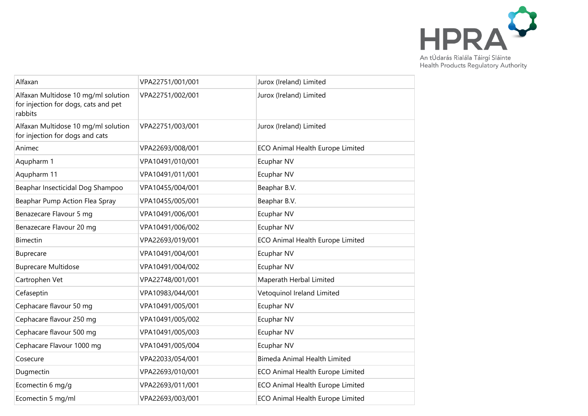

| Alfaxan                                                                                | VPA22751/001/001 | Jurox (Ireland) Limited             |
|----------------------------------------------------------------------------------------|------------------|-------------------------------------|
| Alfaxan Multidose 10 mg/ml solution<br>for injection for dogs, cats and pet<br>rabbits | VPA22751/002/001 | Jurox (Ireland) Limited             |
| Alfaxan Multidose 10 mg/ml solution<br>for injection for dogs and cats                 | VPA22751/003/001 | Jurox (Ireland) Limited             |
| Animec                                                                                 | VPA22693/008/001 | ECO Animal Health Europe Limited    |
| Aqupharm 1                                                                             | VPA10491/010/001 | Ecuphar NV                          |
| Aqupharm 11                                                                            | VPA10491/011/001 | Ecuphar NV                          |
| Beaphar Insecticidal Dog Shampoo                                                       | VPA10455/004/001 | Beaphar B.V.                        |
| Beaphar Pump Action Flea Spray                                                         | VPA10455/005/001 | Beaphar B.V.                        |
| Benazecare Flavour 5 mg                                                                | VPA10491/006/001 | Ecuphar NV                          |
| Benazecare Flavour 20 mg                                                               | VPA10491/006/002 | Ecuphar NV                          |
| <b>Bimectin</b>                                                                        | VPA22693/019/001 | ECO Animal Health Europe Limited    |
| Buprecare                                                                              | VPA10491/004/001 | Ecuphar NV                          |
| <b>Buprecare Multidose</b>                                                             | VPA10491/004/002 | Ecuphar NV                          |
| Cartrophen Vet                                                                         | VPA22748/001/001 | Maperath Herbal Limited             |
| Cefaseptin                                                                             | VPA10983/044/001 | Vetoquinol Ireland Limited          |
| Cephacare flavour 50 mg                                                                | VPA10491/005/001 | Ecuphar NV                          |
| Cephacare flavour 250 mg                                                               | VPA10491/005/002 | Ecuphar NV                          |
| Cephacare flavour 500 mg                                                               | VPA10491/005/003 | Ecuphar NV                          |
| Cephacare Flavour 1000 mg                                                              | VPA10491/005/004 | Ecuphar NV                          |
| Cosecure                                                                               | VPA22033/054/001 | <b>Bimeda Animal Health Limited</b> |
| Dugmectin                                                                              | VPA22693/010/001 | ECO Animal Health Europe Limited    |
| Ecomectin 6 mg/g                                                                       | VPA22693/011/001 | ECO Animal Health Europe Limited    |
| Ecomectin 5 mg/ml                                                                      | VPA22693/003/001 | ECO Animal Health Europe Limited    |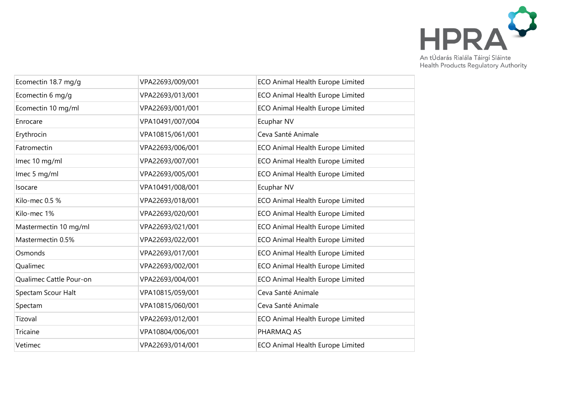

|                  | ECO Animal Health Europe Limited |
|------------------|----------------------------------|
| VPA22693/013/001 | ECO Animal Health Europe Limited |
| VPA22693/001/001 | ECO Animal Health Europe Limited |
| VPA10491/007/004 | Ecuphar NV                       |
| VPA10815/061/001 | Ceva Santé Animale               |
| VPA22693/006/001 | ECO Animal Health Europe Limited |
| VPA22693/007/001 | ECO Animal Health Europe Limited |
| VPA22693/005/001 | ECO Animal Health Europe Limited |
| VPA10491/008/001 | Ecuphar NV                       |
| VPA22693/018/001 | ECO Animal Health Europe Limited |
| VPA22693/020/001 | ECO Animal Health Europe Limited |
| VPA22693/021/001 | ECO Animal Health Europe Limited |
| VPA22693/022/001 | ECO Animal Health Europe Limited |
| VPA22693/017/001 | ECO Animal Health Europe Limited |
| VPA22693/002/001 | ECO Animal Health Europe Limited |
| VPA22693/004/001 | ECO Animal Health Europe Limited |
| VPA10815/059/001 | Ceva Santé Animale               |
| VPA10815/060/001 | Ceva Santé Animale               |
| VPA22693/012/001 | ECO Animal Health Europe Limited |
| VPA10804/006/001 | PHARMAQ AS                       |
| VPA22693/014/001 | ECO Animal Health Europe Limited |
|                  | VPA22693/009/001                 |